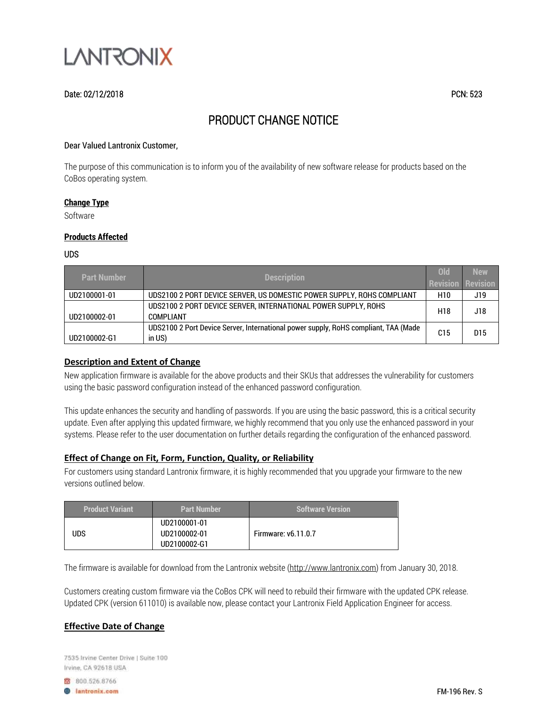

## Date: 02/12/2018 PCN: 523

# PRODUCT CHANGE NOTICE

#### Dear Valued Lantronix Customer,

The purpose of this communication is to inform you of the availability of new software release for products based on the CoBos operating system.

#### **Change Type**

Software

#### **Products Affected**

UDS

| <b>Part Number</b> | <b>Description</b>                                                                           | <b>Old</b><br>Revision | <b>New</b><br><b>Revision</b> |
|--------------------|----------------------------------------------------------------------------------------------|------------------------|-------------------------------|
| UD2100001-01       | UDS2100 2 PORT DEVICE SERVER, US DOMESTIC POWER SUPPLY, ROHS COMPLIANT                       |                        | J19                           |
| UD2100002-01       | UDS2100 2 PORT DEVICE SERVER, INTERNATIONAL POWER SUPPLY, ROHS<br>COMPI IANT                 |                        | J18                           |
| UD2100002-G1       | UDS2100 2 Port Device Server, International power supply, RoHS compliant, TAA (Made<br>in US | C15                    | D15                           |

## **Description and Extent of Change**

New application firmware is available for the above products and their SKUs that addresses the vulnerability for customers using the basic password configuration instead of the enhanced password configuration.

This update enhances the security and handling of passwords. If you are using the basic password, this is a critical security update. Even after applying this updated firmware, we highly recommend that you only use the enhanced password in your systems. Please refer to the user documentation on further details regarding the configuration of the enhanced password.

## **Effect of Change on Fit, Form, Function, Quality, or Reliability**

For customers using standard Lantronix firmware, it is highly recommended that you upgrade your firmware to the new versions outlined below.

| <b>Product Variant</b> | <b>Part Number</b>                           | <b>Software Version</b>    |
|------------------------|----------------------------------------------|----------------------------|
| <b>UDS</b>             | UD2100001-01<br>UD2100002-01<br>UD2100002-G1 | <b>Firmware: v6.11.0.7</b> |

The firmware is available for download from the Lantronix website [\(http://www.lantronix.com\)](http://www.lantronix.com/) from January 30, 2018.

Customers creating custom firmware via the CoBos CPK will need to rebuild their firmware with the updated CPK release. Updated CPK (version 611010) is available now, please contact your Lantronix Field Application Engineer for access.

## **Effective Date of Change**

7535 Irvine Center Drive | Suite 100 Irvine, CA 92618 USA

8 800.526.8766

**B** lantronix.com